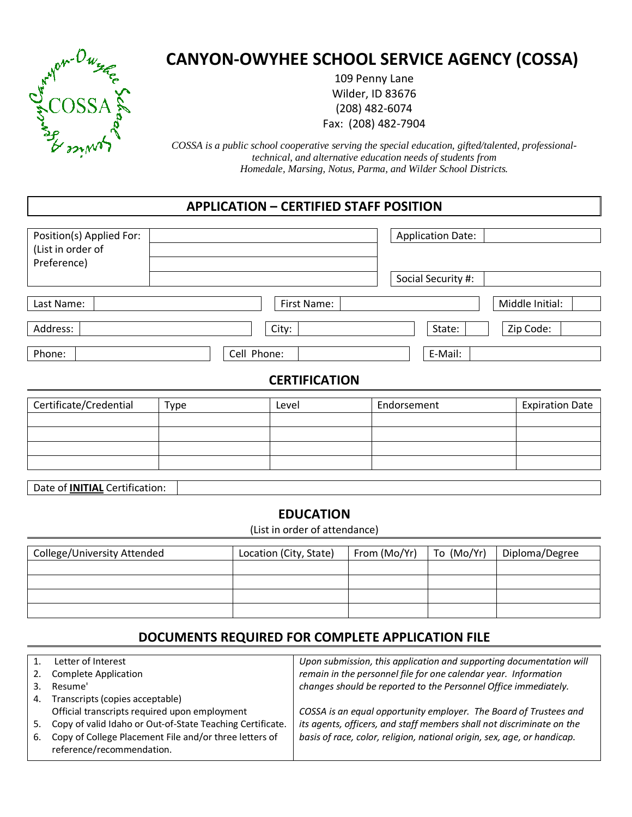

# CANYON-OWYHEE SCHOOL SERVICE AGENCY (COSSA)

109 Penny Lane Wilder, ID 83676 (208) 482-6074 Fax: (208) 482-7904

*COSSA is a public school cooperative serving the special education, gifted/talented, professionaltechnical, and alternative education needs of students from Homedale, Marsing, Notus, Parma, and Wilder School Districts.* 

# APPLICATION – CERTIFIED STAFF POSITION

| Position(s) Applied For:<br>(List in order of<br>Preference) |                      | <b>Application Date:</b> |
|--------------------------------------------------------------|----------------------|--------------------------|
|                                                              |                      | Social Security #:       |
| Last Name:                                                   | First Name:          | Middle Initial:          |
| Address:                                                     | City:                | Zip Code:<br>State:      |
| Phone:                                                       | Cell Phone:          | E-Mail:                  |
|                                                              | <b>CERTIFICATION</b> |                          |

| Certificate/Credential | Type | Level | Endorsement | <b>Expiration Date</b> |
|------------------------|------|-------|-------------|------------------------|
|                        |      |       |             |                        |
|                        |      |       |             |                        |
|                        |      |       |             |                        |
|                        |      |       |             |                        |
|                        |      |       |             |                        |

Date of **INITIAL** Certification:

## EDUCATION

(List in order of attendance)

| College/University Attended | Location (City, State) | From (Mo/Yr)<br>To (Mo/Yr) |  | Diploma/Degree |  |
|-----------------------------|------------------------|----------------------------|--|----------------|--|
|                             |                        |                            |  |                |  |
|                             |                        |                            |  |                |  |
|                             |                        |                            |  |                |  |
|                             |                        |                            |  |                |  |

# DOCUMENTS REQUIRED FOR COMPLETE APPLICATION FILE

| $1_{-}$ | Letter of Interest                                                                  | Upon submission, this application and supporting documentation will     |
|---------|-------------------------------------------------------------------------------------|-------------------------------------------------------------------------|
| 2.      | <b>Complete Application</b>                                                         | remain in the personnel file for one calendar year. Information         |
|         | Resume'                                                                             | changes should be reported to the Personnel Office immediately.         |
| 4.      | Transcripts (copies acceptable)                                                     |                                                                         |
|         | Official transcripts required upon employment                                       | COSSA is an equal opportunity employer. The Board of Trustees and       |
| 5.      | Copy of valid Idaho or Out-of-State Teaching Certificate.                           | its agents, officers, and staff members shall not discriminate on the   |
| 6.      | Copy of College Placement File and/or three letters of<br>reference/recommendation. | basis of race, color, religion, national origin, sex, age, or handicap. |
|         |                                                                                     |                                                                         |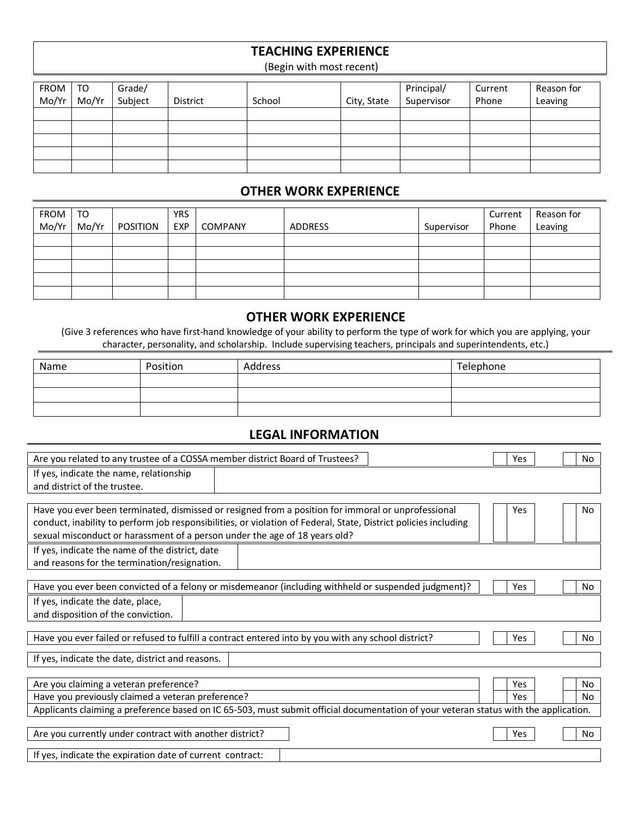# TEACHING EXPERIENCE

(Begin with most recent)

| FROM  <br>Mo/Yr | TO<br>Mo/Yr | Grade/<br>Subject | <b>District</b> | School | City, State | Principal/<br>Supervisor | Current<br>Phone | Reason for<br>Leaving |
|-----------------|-------------|-------------------|-----------------|--------|-------------|--------------------------|------------------|-----------------------|
|                 |             |                   |                 |        |             |                          |                  |                       |
|                 |             |                   |                 |        |             |                          |                  |                       |
|                 |             |                   |                 |        |             |                          |                  |                       |
|                 |             |                   |                 |        |             |                          |                  |                       |
|                 |             |                   |                 |        |             |                          |                  |                       |

#### OTHER WORK EXPERIENCE

| <b>FROM</b><br>Mo/Yr | TO<br>Mo/Yr | POSITION | <b>YRS</b><br><b>EXP</b> | <b>COMPANY</b> | ADDRESS | Supervisor | Current<br>Phone | Reason for<br>Leaving |
|----------------------|-------------|----------|--------------------------|----------------|---------|------------|------------------|-----------------------|
|                      |             |          |                          |                |         |            |                  |                       |
|                      |             |          |                          |                |         |            |                  |                       |
|                      |             |          |                          |                |         |            |                  |                       |
|                      |             |          |                          |                |         |            |                  |                       |
|                      |             |          |                          |                |         |            |                  |                       |

#### OTHER WORK EXPERIENCE

(Give 3 references who have first-hand knowledge of your ability to perform the type of work for which you are applying, your character, personality, and scholarship. Include supervising teachers, principals and superintendents, etc.)

| Name | Position | Address | Telephone |
|------|----------|---------|-----------|
|      |          |         |           |
|      |          |         |           |
|      |          |         |           |

### LEGAL INFORMATION

| Are you related to any trustee of a COSSA member district Board of Trustees? |                                                                                                                                      | Yes | No             |
|------------------------------------------------------------------------------|--------------------------------------------------------------------------------------------------------------------------------------|-----|----------------|
| If yes, indicate the name, relationship                                      |                                                                                                                                      |     |                |
| and district of the trustee.                                                 |                                                                                                                                      |     |                |
|                                                                              |                                                                                                                                      |     |                |
|                                                                              | Have you ever been terminated, dismissed or resigned from a position for immoral or unprofessional                                   | Yes | No             |
|                                                                              | conduct, inability to perform job responsibilities, or violation of Federal, State, District policies including                      |     |                |
| sexual misconduct or harassment of a person under the age of 18 years old?   |                                                                                                                                      |     |                |
| If yes, indicate the name of the district, date                              |                                                                                                                                      |     |                |
| and reasons for the termination/resignation.                                 |                                                                                                                                      |     |                |
|                                                                              | Have you ever been convicted of a felony or misdemeanor (including withheld or suspended judgment)?                                  | Yes | No             |
| If yes, indicate the date, place,                                            |                                                                                                                                      |     |                |
| and disposition of the conviction.                                           |                                                                                                                                      |     |                |
|                                                                              |                                                                                                                                      |     |                |
|                                                                              | Have you ever failed or refused to fulfill a contract entered into by you with any school district?                                  | Yes | No.            |
| If yes, indicate the date, district and reasons.                             |                                                                                                                                      |     |                |
|                                                                              |                                                                                                                                      |     |                |
| Are you claiming a veteran preference?                                       |                                                                                                                                      | Yes | No             |
| Have you previously claimed a veteran preference?                            |                                                                                                                                      | Yes | N <sub>0</sub> |
|                                                                              | Applicants claiming a preference based on IC 65-503, must submit official documentation of your veteran status with the application. |     |                |
|                                                                              |                                                                                                                                      |     |                |
| Are you currently under contract with another district?                      |                                                                                                                                      | Yes | No.            |
| If yes, indicate the expiration date of current contract:                    |                                                                                                                                      |     |                |